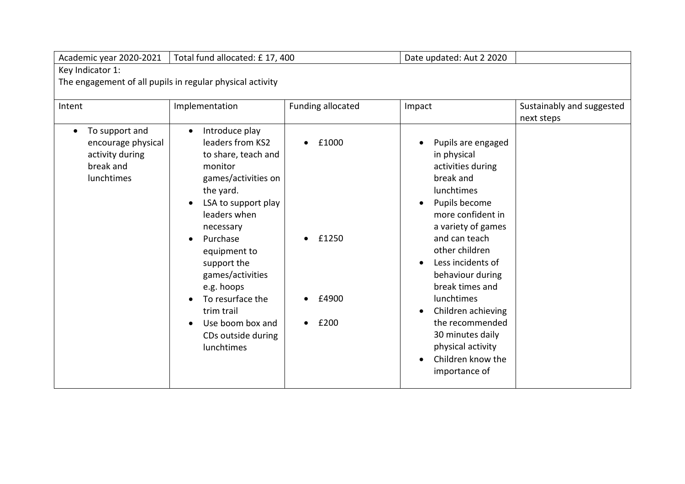| Academic year 2020-2021                                                                                   | Total fund allocated: £17, 400                                                                                                                                                                                                                                                                                                                        |                                                      | Date updated: Aut 2 2020                                                                                                                                                                                                                                                                                                                                                                                                                     |                                         |  |
|-----------------------------------------------------------------------------------------------------------|-------------------------------------------------------------------------------------------------------------------------------------------------------------------------------------------------------------------------------------------------------------------------------------------------------------------------------------------------------|------------------------------------------------------|----------------------------------------------------------------------------------------------------------------------------------------------------------------------------------------------------------------------------------------------------------------------------------------------------------------------------------------------------------------------------------------------------------------------------------------------|-----------------------------------------|--|
| Key Indicator 1:                                                                                          |                                                                                                                                                                                                                                                                                                                                                       |                                                      |                                                                                                                                                                                                                                                                                                                                                                                                                                              |                                         |  |
| The engagement of all pupils in regular physical activity                                                 |                                                                                                                                                                                                                                                                                                                                                       |                                                      |                                                                                                                                                                                                                                                                                                                                                                                                                                              |                                         |  |
| Intent<br>To support and<br>$\bullet$<br>encourage physical<br>activity during<br>break and<br>lunchtimes | Implementation<br>Introduce play<br>leaders from KS2<br>to share, teach and<br>monitor<br>games/activities on<br>the yard.<br>LSA to support play<br>leaders when<br>necessary<br>Purchase<br>equipment to<br>support the<br>games/activities<br>e.g. hoops<br>To resurface the<br>trim trail<br>Use boom box and<br>CDs outside during<br>lunchtimes | Funding allocated<br>£1000<br>£1250<br>£4900<br>£200 | Impact<br>Pupils are engaged<br>$\bullet$<br>in physical<br>activities during<br>break and<br>lunchtimes<br>Pupils become<br>$\bullet$<br>more confident in<br>a variety of games<br>and can teach<br>other children<br>Less incidents of<br>$\bullet$<br>behaviour during<br>break times and<br>lunchtimes<br>Children achieving<br>$\bullet$<br>the recommended<br>30 minutes daily<br>physical activity<br>Children know the<br>$\bullet$ | Sustainably and suggested<br>next steps |  |
|                                                                                                           |                                                                                                                                                                                                                                                                                                                                                       |                                                      | importance of                                                                                                                                                                                                                                                                                                                                                                                                                                |                                         |  |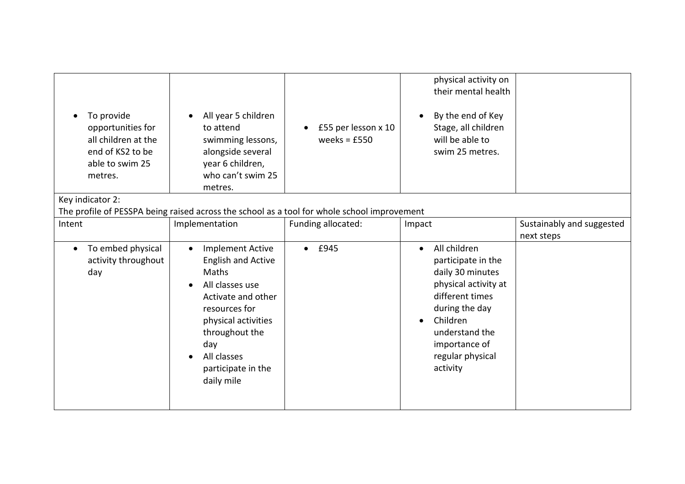| To provide<br>opportunities for<br>all children at the<br>end of KS2 to be<br>able to swim 25<br>metres. | All year 5 children<br>to attend<br>swimming lessons,<br>alongside several<br>year 6 children,<br>who can't swim 25<br>metres.                                                                                                          | £55 per lesson x 10<br>weeks = $£550$ | physical activity on<br>their mental health<br>By the end of Key<br>Stage, all children<br>will be able to<br>swim 25 metres.                                                                                                |                           |
|----------------------------------------------------------------------------------------------------------|-----------------------------------------------------------------------------------------------------------------------------------------------------------------------------------------------------------------------------------------|---------------------------------------|------------------------------------------------------------------------------------------------------------------------------------------------------------------------------------------------------------------------------|---------------------------|
| Key indicator 2:                                                                                         |                                                                                                                                                                                                                                         |                                       |                                                                                                                                                                                                                              |                           |
|                                                                                                          | The profile of PESSPA being raised across the school as a tool for whole school improvement                                                                                                                                             |                                       |                                                                                                                                                                                                                              |                           |
| Intent                                                                                                   | Implementation                                                                                                                                                                                                                          | Funding allocated:                    | Impact                                                                                                                                                                                                                       | Sustainably and suggested |
|                                                                                                          |                                                                                                                                                                                                                                         |                                       |                                                                                                                                                                                                                              | next steps                |
| To embed physical<br>$\bullet$<br>activity throughout<br>day                                             | <b>Implement Active</b><br>$\bullet$<br><b>English and Active</b><br>Maths<br>All classes use<br>Activate and other<br>resources for<br>physical activities<br>throughout the<br>day<br>All classes<br>participate in the<br>daily mile | $\bullet$ £945                        | All children<br>$\bullet$<br>participate in the<br>daily 30 minutes<br>physical activity at<br>different times<br>during the day<br>Children<br>$\bullet$<br>understand the<br>importance of<br>regular physical<br>activity |                           |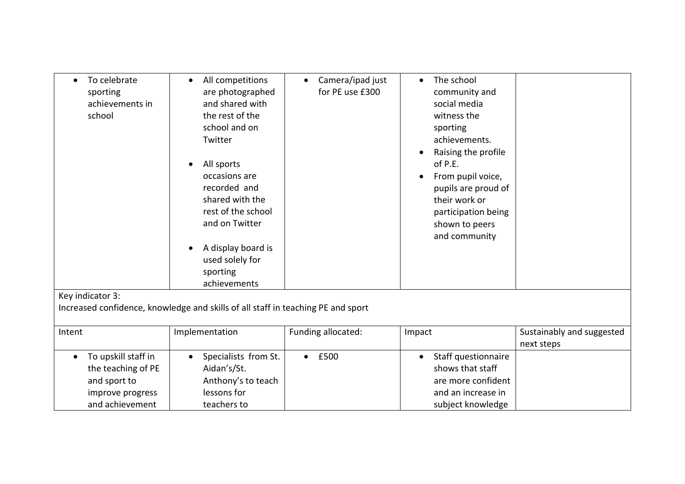| To celebrate<br>$\bullet$<br>sporting<br>achievements in<br>school                                            | All competitions<br>$\bullet$<br>are photographed<br>and shared with<br>the rest of the<br>school and on<br>Twitter<br>All sports<br>$\bullet$<br>occasions are<br>recorded and<br>shared with the<br>rest of the school<br>and on Twitter<br>A display board is<br>used solely for<br>sporting<br>achievements | Camera/ipad just<br>$\bullet$<br>for PE use £300 | The school<br>$\bullet$<br>community and<br>social media<br>witness the<br>sporting<br>achievements.<br>Raising the profile<br>of P.E.<br>From pupil voice,<br>pupils are proud of<br>their work or<br>participation being<br>shown to peers<br>and community |                                         |
|---------------------------------------------------------------------------------------------------------------|-----------------------------------------------------------------------------------------------------------------------------------------------------------------------------------------------------------------------------------------------------------------------------------------------------------------|--------------------------------------------------|---------------------------------------------------------------------------------------------------------------------------------------------------------------------------------------------------------------------------------------------------------------|-----------------------------------------|
| Key indicator 3:                                                                                              |                                                                                                                                                                                                                                                                                                                 |                                                  |                                                                                                                                                                                                                                                               |                                         |
|                                                                                                               | Increased confidence, knowledge and skills of all staff in teaching PE and sport                                                                                                                                                                                                                                |                                                  |                                                                                                                                                                                                                                                               |                                         |
| Intent                                                                                                        | Implementation                                                                                                                                                                                                                                                                                                  | Funding allocated:                               | Impact                                                                                                                                                                                                                                                        | Sustainably and suggested<br>next steps |
| To upskill staff in<br>$\bullet$<br>the teaching of PE<br>and sport to<br>improve progress<br>and achievement | Specialists from St.<br>Aidan's/St.<br>Anthony's to teach<br>lessons for<br>teachers to                                                                                                                                                                                                                         | £500<br>$\bullet$                                | Staff questionnaire<br>$\bullet$<br>shows that staff<br>are more confident<br>and an increase in<br>subject knowledge                                                                                                                                         |                                         |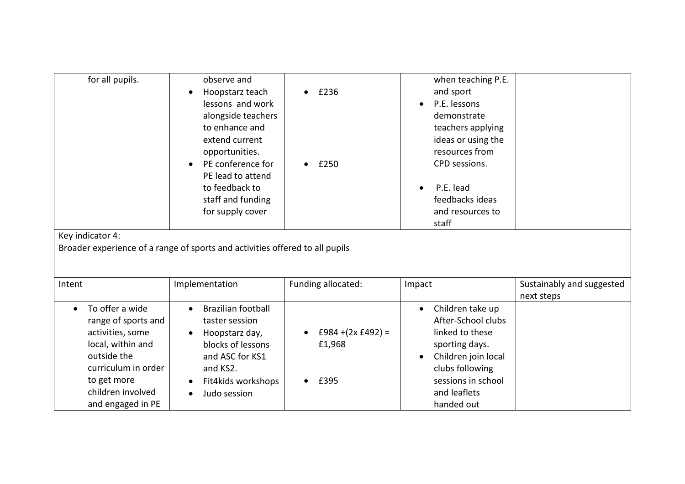| for all pupils.<br>Key indicator 4:                                                                                                                                                         | observe and<br>Hoopstarz teach<br>lessons and work<br>alongside teachers<br>to enhance and<br>extend current<br>opportunities.<br>PE conference for<br>PE lead to attend<br>to feedback to<br>staff and funding<br>for supply cover<br>Broader experience of a range of sports and activities offered to all pupils | £236<br>£250                           | when teaching P.E.<br>and sport<br>P.E. lessons<br>demonstrate<br>teachers applying<br>ideas or using the<br>resources from<br>CPD sessions.<br>P.E. lead<br>feedbacks ideas<br>and resources to<br>staff |                                         |
|---------------------------------------------------------------------------------------------------------------------------------------------------------------------------------------------|---------------------------------------------------------------------------------------------------------------------------------------------------------------------------------------------------------------------------------------------------------------------------------------------------------------------|----------------------------------------|-----------------------------------------------------------------------------------------------------------------------------------------------------------------------------------------------------------|-----------------------------------------|
| Intent                                                                                                                                                                                      | Implementation                                                                                                                                                                                                                                                                                                      | Funding allocated:                     | Impact                                                                                                                                                                                                    | Sustainably and suggested<br>next steps |
| To offer a wide<br>$\bullet$<br>range of sports and<br>activities, some<br>local, within and<br>outside the<br>curriculum in order<br>to get more<br>children involved<br>and engaged in PE | <b>Brazilian football</b><br>$\bullet$<br>taster session<br>Hoopstarz day,<br>blocks of lessons<br>and ASC for KS1<br>and KS2.<br>Fit4kids workshops<br>Judo session                                                                                                                                                | $£984 + (2x £492) =$<br>£1,968<br>£395 | Children take up<br>$\bullet$<br>After-School clubs<br>linked to these<br>sporting days.<br>Children join local<br>clubs following<br>sessions in school<br>and leaflets<br>handed out                    |                                         |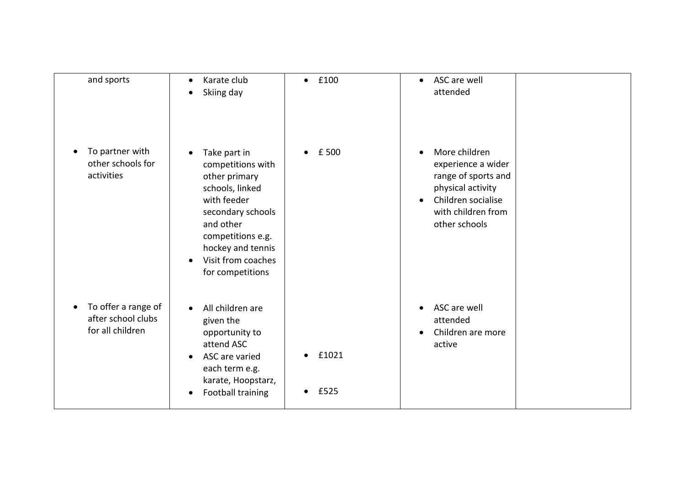| and sports                                                                 | Karate club<br>$\bullet$<br>Skiing day<br>$\bullet$                                                                                                                                                                                  | £100<br>$\bullet$                       | ASC are well<br>$\bullet$<br>attended                                                                                                                                  |
|----------------------------------------------------------------------------|--------------------------------------------------------------------------------------------------------------------------------------------------------------------------------------------------------------------------------------|-----------------------------------------|------------------------------------------------------------------------------------------------------------------------------------------------------------------------|
| To partner with<br>$\bullet$<br>other schools for<br>activities            | Take part in<br>$\bullet$<br>competitions with<br>other primary<br>schools, linked<br>with feeder<br>secondary schools<br>and other<br>competitions e.g.<br>hockey and tennis<br>Visit from coaches<br>$\bullet$<br>for competitions | £ 500                                   | More children<br>$\bullet$<br>experience a wider<br>range of sports and<br>physical activity<br>Children socialise<br>$\bullet$<br>with children from<br>other schools |
| To offer a range of<br>$\bullet$<br>after school clubs<br>for all children | All children are<br>$\bullet$<br>given the<br>opportunity to<br>attend ASC<br>ASC are varied<br>$\bullet$<br>each term e.g.<br>karate, Hoopstarz,<br>Football training<br>$\bullet$                                                  | £1021<br>$\bullet$<br>£525<br>$\bullet$ | ASC are well<br>$\bullet$<br>attended<br>Children are more<br>$\bullet$<br>active                                                                                      |